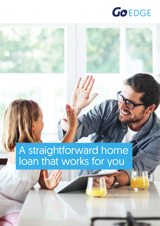



### A straightforward home loan that works for you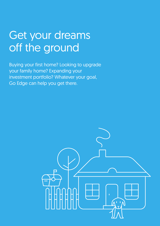### Get your dreams off the ground

Buying your first home? Looking to upgrade your family home? Expanding your investment portfolio? Whatever your goal, Go Edge can help you get there.

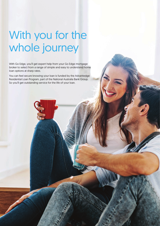### With you for the whole journey

With Go Edge, you'll get expert help from your Go Edge mortgage broker to select from a range of simple and easy to understand home loan options at sharp rates.

You can feel secure knowing your loan is funded by the Advantedge Residential Loan Program, part of the National Australia Bank Group. So you'll get outstanding service for the life of your loan.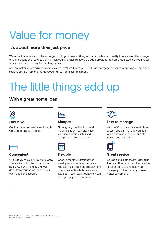# Value for money

### It's about more than just price

We know that when your plans change, so do your needs. Along with sharp rates, our quality home loans offer a range of loan options and features that may suit your financial situation. Go Edge provides the home loan essentials you need, so you don't have to pay for the things you don't.

And no matter what you're working towards, we'll work with your Go Edge mortgage broker to keep things simple and straightforward from the moment you sign to your final repayment.

# The little things add up

### With a great home loan



Our loans are only available through Go Edge mortgage brokers.



#### Convenient

With a redraw facility, you can access your available funds on your variable home loan by arranging a direct debit from your home loan to your everyday bank account.



#### **Sharper**

No ongoing monthly fees, and no annual fee#. You'll also save with sharp interest rates and no upfront application fees.



#### Flexible

Choose monthly, fortnightly or weekly repayments as it suits you. You can make additional repayments to your variable rate home loan at no extra cost. Each extra repayment will help you pay less in interest.



#### Easy to manage

With 24/7\* secure online and phone access, you can manage your loan when and where it suits you with StarNet and StarCall.



#### Great service

Go Edge's CustomerCare is based in Australia. They're on hand to provide excellent service and help you manage your loan when you need it after settlement.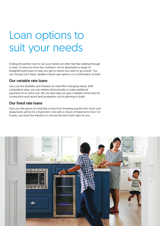### Loan options to suit your needs

Finding the perfect loan to suit your needs can often feel like walking through a maze. To save you from the confusion, we've developed a range of straightforward loans to help you get to where you want to go sooner. You can choose from fixed, variable interest rate options or a combination of both.

#### Our variable rate loans

Give you the flexibility and freedom to meet life's changing needs. With competitive rates, you can redraw electronically or make additional payments at no extra cost. We can also help you get a variable home loan for construction and vacant land properties you're planning to build.

#### Our fixed rate loans

Give you the peace of mind that comes from knowing exactly how much your repayments will be for a fixed term. And with a choice of fixed terms from 1 to 5 years, you have the freedom to choose the term that's right for you.

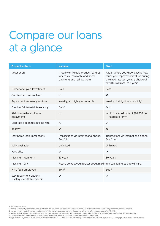## Compare our loans at a glance

| <b>Product features</b>                                | <b>Variable</b>                                                                                    | <b>Fixed</b>                                                                                                                                       |
|--------------------------------------------------------|----------------------------------------------------------------------------------------------------|----------------------------------------------------------------------------------------------------------------------------------------------------|
| Description                                            | A loan with flexible product features<br>where you can make additional<br>payments and redraw them | A loan where you know exactly how<br>much your repayments will be during<br>the fixed rate term, with a choice of<br>fixed terms from 1 to 5 years |
| Owner occupied Investment                              | <b>Both</b>                                                                                        | <b>Both</b>                                                                                                                                        |
| Construction/Vacant land                               | $\checkmark$                                                                                       | $\times$                                                                                                                                           |
| Repayment frequency options                            | Weekly, fortnightly or monthly <sup>2</sup>                                                        | Weekly, fortnightly or monthly <sup>2</sup>                                                                                                        |
| Principal & interest/Interest only                     | Both $3$                                                                                           | Both $3$                                                                                                                                           |
| Ability to make additional<br>repayments               | $\checkmark$                                                                                       | $\vee$ Up to a maximum of \$20,000 per<br>fixed rate term <sup>4</sup>                                                                             |
| Lock rate option to set fixed rate                     | $\times$                                                                                           | $\checkmark$                                                                                                                                       |
| Redraw                                                 | $\sqrt{1}$                                                                                         | $\times$                                                                                                                                           |
| Easy home loan transactions                            | Transactions via internet and phone,<br>BPAY® [In]                                                 | Transactions via internet and phone,<br>BPAY® [In] <sup>4</sup>                                                                                    |
| Splits available                                       | Unlimited                                                                                          | Unlimited                                                                                                                                          |
| Portability                                            | $\checkmark$                                                                                       | $\checkmark$                                                                                                                                       |
| Maximum Ioan term                                      | 30 years                                                                                           | 30 years                                                                                                                                           |
| Maximum LVR                                            | Please contact your broker about maximum LVR tiering as this will vary.                            |                                                                                                                                                    |
| PAYG/Self-employed                                     | Both <sup>5</sup>                                                                                  | Both <sup>5</sup>                                                                                                                                  |
| Easy repayment options<br>- salary credit/direct debit | $\checkmark$                                                                                       | $\checkmark$                                                                                                                                       |

1. Subject to loan terms.

3. Interest only term up to 10 years where the loan is for investment purposes, and up to 5 years where the loan is for personal use and/or LVR >80%.

5. Co-Borrower(s) may be PAYG provided that they are mortgagors and able to provide income verification documentation.

®Registered BPAY Pty Ltd ABN 69 079 137 518. Information accurate as at 11 April 2022 and may change without notice. Please contact your Go Edge mortgage broker for full product details.

<sup>2.</sup> Weekly or fortnightly repayments are available after the first scheduled monthly repayment is made. For interest only loans, only monthly repayment option is available.

<sup>4.</sup> Break costs may apply if a fixed rate loan is: repaid in full; the loan rate is varied in any way before the fixed rate term ends; or additional payments exceed \$20,000 maximum.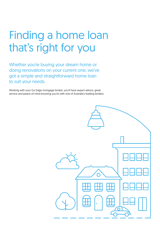## Finding a home loan that's right for you

Whether you're buying your dream home or doing renovations on your current one, we've got a simple and straightforward home loan to suit your needs.

Working with your Go Edge mortgage broker, you'll have expert advice, great service and peace of mind knowing you're with one of Australia's leading lenders.